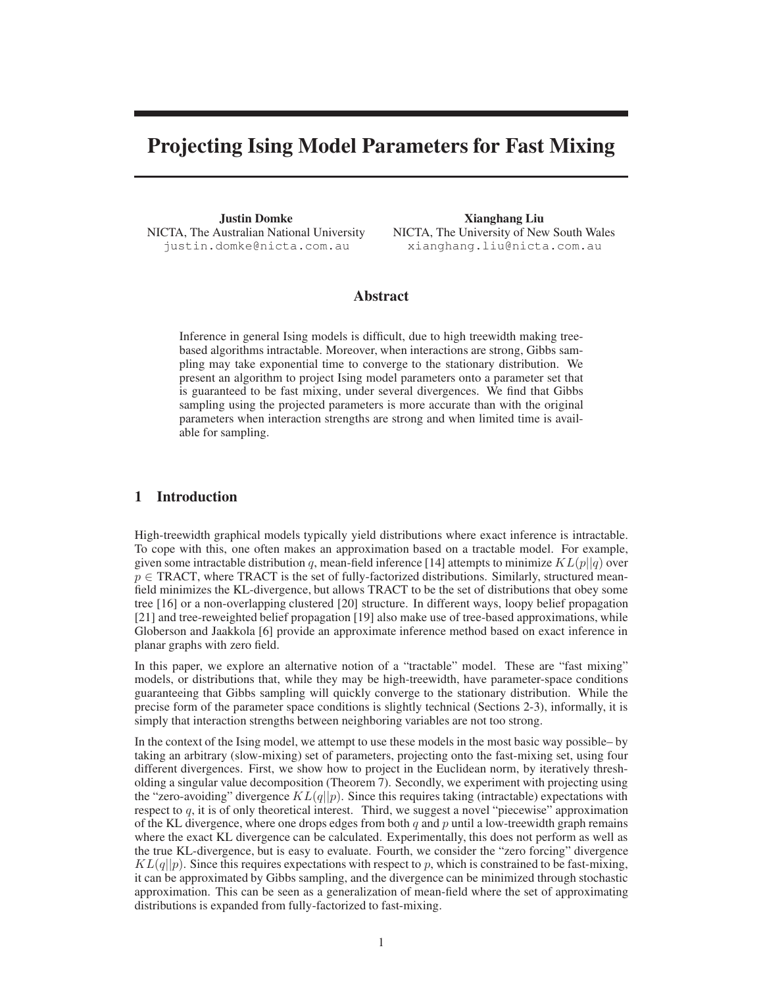# Projecting Ising Model Parameters for Fast Mixing

Justin Domke NICTA, The Australian National University justin.domke@nicta.com.au

Xianghang Liu NICTA, The University of New South Wales xianghang.liu@nicta.com.au

## Abstract

Inference in general Ising models is difficult, due to high treewidth making treebased algorithms intractable. Moreover, when interactions are strong, Gibbs sampling may take exponential time to converge to the stationary distribution. We present an algorithm to project Ising model parameters onto a parameter set that is guaranteed to be fast mixing, under several divergences. We find that Gibbs sampling using the projected parameters is more accurate than with the original parameters when interaction strengths are strong and when limited time is available for sampling.

# 1 Introduction

High-treewidth graphical models typically yield distributions where exact inference is intractable. To cope with this, one often makes an approximation based on a tractable model. For example, given some intractable distribution q, mean-field inference [14] attempts to minimize  $KL(p||q)$  over  $p \in \text{TRACT}$ , where TRACT is the set of fully-factorized distributions. Similarly, structured meanfield minimizes the KL-divergence, but allows TRACT to be the set of distributions that obey some tree [16] or a non-overlapping clustered [20] structure. In different ways, loopy belief propagation [21] and tree-reweighted belief propagation [19] also make use of tree-based approximations, while Globerson and Jaakkola [6] provide an approximate inference method based on exact inference in planar graphs with zero field.

In this paper, we explore an alternative notion of a "tractable" model. These are "fast mixing" models, or distributions that, while they may be high-treewidth, have parameter-space conditions guaranteeing that Gibbs sampling will quickly converge to the stationary distribution. While the precise form of the parameter space conditions is slightly technical (Sections 2-3), informally, it is simply that interaction strengths between neighboring variables are not too strong.

In the context of the Ising model, we attempt to use these models in the most basic way possible– by taking an arbitrary (slow-mixing) set of parameters, projecting onto the fast-mixing set, using four different divergences. First, we show how to project in the Euclidean norm, by iteratively thresholding a singular value decomposition (Theorem 7). Secondly, we experiment with projecting using the "zero-avoiding" divergence  $KL(q||p)$ . Since this requires taking (intractable) expectations with respect to  $q$ , it is of only theoretical interest. Third, we suggest a novel "piecewise" approximation of the KL divergence, where one drops edges from both  $q$  and  $p$  until a low-treewidth graph remains where the exact KL divergence can be calculated. Experimentally, this does not perform as well as the true KL-divergence, but is easy to evaluate. Fourth, we consider the "zero forcing" divergence  $KL(q||p)$ . Since this requires expectations with respect to p, which is constrained to be fast-mixing, it can be approximated by Gibbs sampling, and the divergence can be minimized through stochastic approximation. This can be seen as a generalization of mean-field where the set of approximating distributions is expanded from fully-factorized to fast-mixing.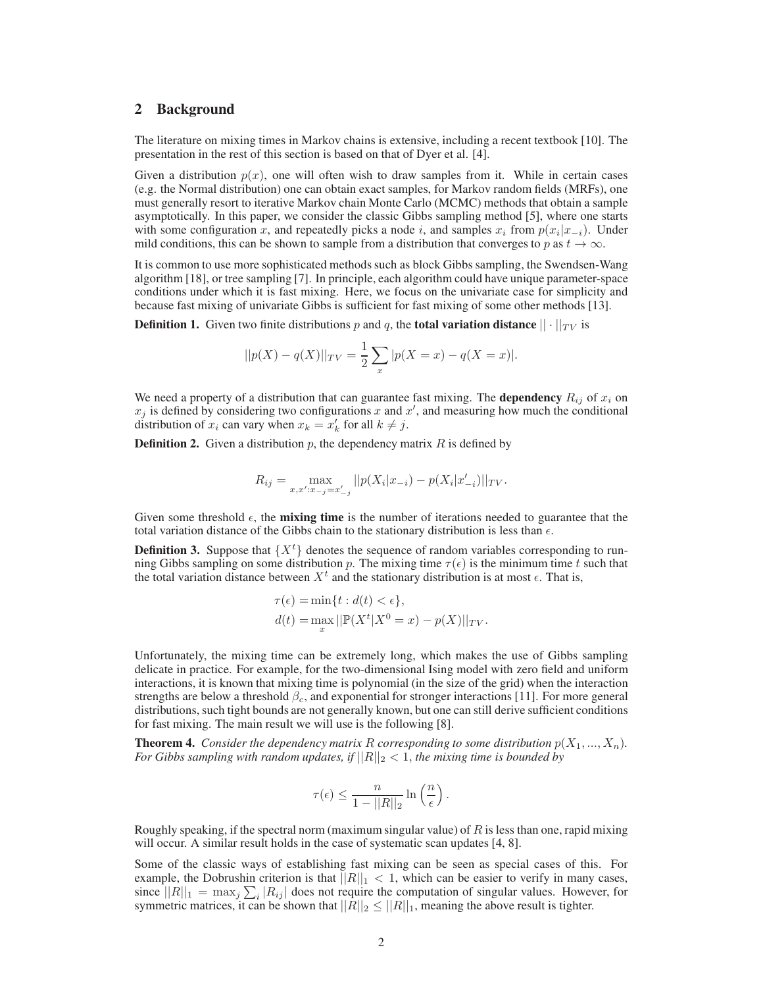## 2 Background

The literature on mixing times in Markov chains is extensive, including a recent textbook [10]. The presentation in the rest of this section is based on that of Dyer et al. [4].

Given a distribution  $p(x)$ , one will often wish to draw samples from it. While in certain cases (e.g. the Normal distribution) one can obtain exact samples, for Markov random fields (MRFs), one must generally resort to iterative Markov chain Monte Carlo (MCMC) methods that obtain a sample asymptotically. In this paper, we consider the classic Gibbs sampling method [5], where one starts with some configuration x, and repeatedly picks a node i, and samples  $x_i$  from  $p(x_i|x_{-i})$ . Under mild conditions, this can be shown to sample from a distribution that converges to p as  $t \to \infty$ .

It is common to use more sophisticated methods such as block Gibbs sampling, the Swendsen-Wang algorithm [18], or tree sampling [7]. In principle, each algorithm could have unique parameter-space conditions under which it is fast mixing. Here, we focus on the univariate case for simplicity and because fast mixing of univariate Gibbs is sufficient for fast mixing of some other methods [13].

**Definition 1.** Given two finite distributions p and q, the **total variation distance**  $|| \cdot ||_{TV}$  is

$$
||p(X) - q(X)||_{TV} = \frac{1}{2} \sum_{x} |p(X = x) - q(X = x)|.
$$

We need a property of a distribution that can guarantee fast mixing. The **dependency**  $R_{ij}$  of  $x_i$  on  $x_j$  is defined by considering two configurations x and  $x'$ , and measuring how much the conditional distribution of  $x_i$  can vary when  $x_k = x'_k$  for all  $k \neq j$ .

**Definition 2.** Given a distribution  $p$ , the dependency matrix  $R$  is defined by

$$
R_{ij} = \max_{x, x': x_{-j} = x'_{-j}} ||p(X_i|x_{-i}) - p(X_i|x'_{-i})||_{TV}.
$$

Given some threshold  $\epsilon$ , the **mixing time** is the number of iterations needed to guarantee that the total variation distance of the Gibbs chain to the stationary distribution is less than  $\epsilon$ .

**Definition 3.** Suppose that  $\{X^t\}$  denotes the sequence of random variables corresponding to running Gibbs sampling on some distribution p. The mixing time  $\tau(\epsilon)$  is the minimum time t such that the total variation distance between  $X<sup>t</sup>$  and the stationary distribution is at most  $\epsilon$ . That is,

$$
\tau(\epsilon) = \min\{t : d(t) < \epsilon\},
$$
\n
$$
d(t) = \max_{x} ||\mathbb{P}(X^t|X^0 = x) - p(X)||_{TV}.
$$

Unfortunately, the mixing time can be extremely long, which makes the use of Gibbs sampling delicate in practice. For example, for the two-dimensional Ising model with zero field and uniform interactions, it is known that mixing time is polynomial (in the size of the grid) when the interaction strengths are below a threshold  $\beta_c$ , and exponential for stronger interactions [11]. For more general distributions, such tight bounds are not generally known, but one can still derive sufficient conditions for fast mixing. The main result we will use is the following [8].

**Theorem 4.** *Consider the dependency matrix* R *corresponding to some distribution*  $p(X_1, ..., X_n)$ *. For Gibbs sampling with random updates, if*  $||R||_2 < 1$ *, the mixing time is bounded by* 

$$
\tau(\epsilon) \leq \frac{n}{1 - ||R||_2} \ln\left(\frac{n}{\epsilon}\right).
$$

Roughly speaking, if the spectral norm (maximum singular value) of  $R$  is less than one, rapid mixing will occur. A similar result holds in the case of systematic scan updates [4, 8].

Some of the classic ways of establishing fast mixing can be seen as special cases of this. For example, the Dobrushin criterion is that  $||R||_1 < 1$ , which can be easier to verify in many cases, since  $||R||_1 = \max_j \sum_i |R_{ij}|$  does not require the computation of singular values. However, for symmetric matrices, it can be shown that  $||R||_2 \leq ||R||_1$ , meaning the above result is tighter.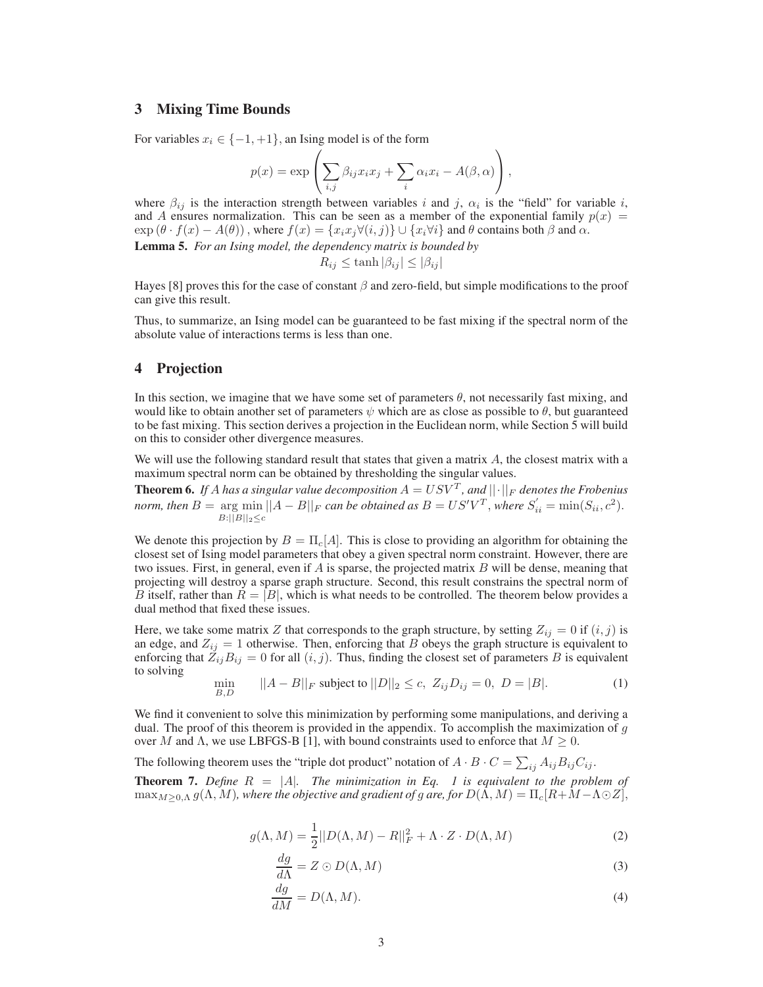## 3 Mixing Time Bounds

For variables  $x_i \in \{-1, +1\}$ , an Ising model is of the form

$$
p(x) = \exp\left(\sum_{i,j}\beta_{ij}x_ix_j + \sum_i\alpha_ix_i - A(\beta,\alpha)\right),\,
$$

where  $\beta_{ij}$  is the interaction strength between variables i and j,  $\alpha_i$  is the "field" for variable i, and A ensures normalization. This can be seen as a member of the exponential family  $p(x)$  $\exp(\theta \cdot f(x) - A(\theta))$ , where  $f(x) = \{x_i x_j \forall (i, j) \} \cup \{x_i \forall i\}$  and  $\theta$  contains both  $\beta$  and  $\alpha$ . Lemma 5. *For an Ising model, the dependency matrix is bounded by*

$$
R_{ij} \le \tanh|\beta_{ij}| \le |\beta_{ij}|
$$

Hayes [8] proves this for the case of constant  $\beta$  and zero-field, but simple modifications to the proof can give this result.

Thus, to summarize, an Ising model can be guaranteed to be fast mixing if the spectral norm of the absolute value of interactions terms is less than one.

## 4 Projection

In this section, we imagine that we have some set of parameters  $\theta$ , not necessarily fast mixing, and would like to obtain another set of parameters  $\psi$  which are as close as possible to  $\theta$ , but guaranteed to be fast mixing. This section derives a projection in the Euclidean norm, while Section 5 will build on this to consider other divergence measures.

We will use the following standard result that states that given a matrix  $A$ , the closest matrix with a maximum spectral norm can be obtained by thresholding the singular values.

**Theorem 6.** If A has a singular value decomposition  $A = USV<sup>T</sup>$ , and  $||\cdot||_F$  denotes the Frobenius *norm, then*  $B = \argmin_{n \in \mathbb{N}} ||A - B||_F$  *can be obtained as*  $B = US'V^T$ , *where*  $S'_{ii} = \min(S_{ii}, c^2)$ .  $B:||B||_2 \leq c$ 

We denote this projection by  $B = \Pi_c[A]$ . This is close to providing an algorithm for obtaining the closest set of Ising model parameters that obey a given spectral norm constraint. However, there are two issues. First, in general, even if  $A$  is sparse, the projected matrix  $B$  will be dense, meaning that projecting will destroy a sparse graph structure. Second, this result constrains the spectral norm of B itself, rather than  $R = |B|$ , which is what needs to be controlled. The theorem below provides a dual method that fixed these issues.

Here, we take some matrix Z that corresponds to the graph structure, by setting  $Z_{ij} = 0$  if  $(i, j)$  is an edge, and  $Z_{ij} = 1$  otherwise. Then, enforcing that B obeys the graph structure is equivalent to enforcing that  $Z_{ij}B_{ij} = 0$  for all  $(i, j)$ . Thus, finding the closest set of parameters B is equivalent to solving

$$
\min_{B,D} \qquad ||A - B||_F \text{ subject to } ||D||_2 \le c, \ Z_{ij} D_{ij} = 0, \ D = |B|.
$$
 (1)

We find it convenient to solve this minimization by performing some manipulations, and deriving a dual. The proof of this theorem is provided in the appendix. To accomplish the maximization of  $g$ over M and  $\Lambda$ , we use LBFGS-B [1], with bound constraints used to enforce that  $M \geq 0$ .

The following theorem uses the "triple dot product" notation of  $A \cdot B \cdot C = \sum_{ij} A_{ij} B_{ij} C_{ij}$ .

**Theorem 7.** Define  $R = |A|$ . The minimization in Eq. 1 is equivalent to the problem of  $\max_{M\geq 0,\Lambda} g(\Lambda, M)$ *, where the objective and gradient of g are, for*  $D(\Lambda, M) = \Pi_c[R + M - \Lambda \odot Z]$ *,* 

$$
g(\Lambda, M) = \frac{1}{2} ||D(\Lambda, M) - R||_F^2 + \Lambda \cdot Z \cdot D(\Lambda, M)
$$
 (2)

$$
\frac{dg}{d\Lambda} = Z \odot D(\Lambda, M) \tag{3}
$$

$$
\frac{dg}{dM} = D(\Lambda, M). \tag{4}
$$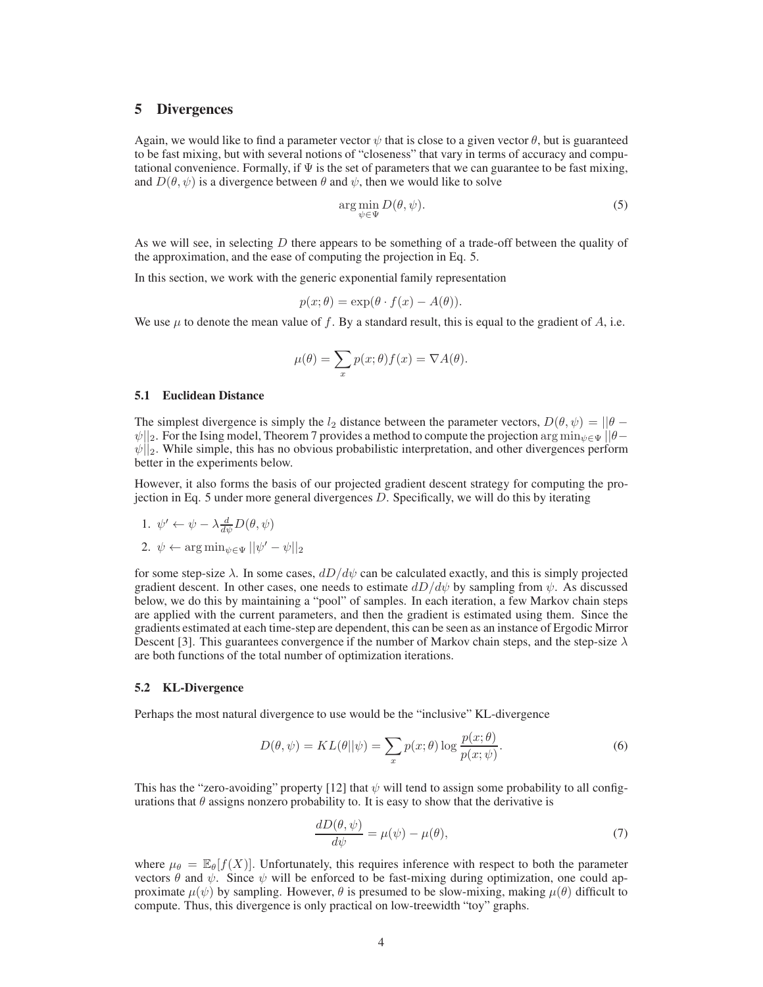## 5 Divergences

Again, we would like to find a parameter vector  $\psi$  that is close to a given vector  $\theta$ , but is guaranteed to be fast mixing, but with several notions of "closeness" that vary in terms of accuracy and computational convenience. Formally, if  $\Psi$  is the set of parameters that we can guarantee to be fast mixing, and  $D(\theta, \psi)$  is a divergence between  $\theta$  and  $\psi$ , then we would like to solve

$$
\arg\min_{\psi \in \Psi} D(\theta, \psi). \tag{5}
$$

As we will see, in selecting D there appears to be something of a trade-off between the quality of the approximation, and the ease of computing the projection in Eq. 5.

In this section, we work with the generic exponential family representation

$$
p(x; \theta) = \exp(\theta \cdot f(x) - A(\theta)).
$$

We use  $\mu$  to denote the mean value of f. By a standard result, this is equal to the gradient of A, i.e.

$$
\mu(\theta) = \sum_{x} p(x;\theta) f(x) = \nabla A(\theta).
$$

#### 5.1 Euclidean Distance

The simplest divergence is simply the  $l_2$  distance between the parameter vectors,  $D(\theta, \psi) = ||\theta - \psi||$  $\psi$ ||<sub>2</sub>. For the Ising model, Theorem 7 provides a method to compute the projection arg min<sub> $\psi \in \Psi$ </sub> ||θ−  $\psi||_2$ . While simple, this has no obvious probabilistic interpretation, and other divergences perform better in the experiments below.

However, it also forms the basis of our projected gradient descent strategy for computing the projection in Eq. 5 under more general divergences D. Specifically, we will do this by iterating

1. 
$$
\psi' \leftarrow \psi - \lambda \frac{d}{d\psi} D(\theta, \psi)
$$
  
2.  $\psi \leftarrow \arg \min_{\psi \in \Psi} ||\psi' - \psi||_2$ 

for some step-size  $\lambda$ . In some cases,  $dD/d\psi$  can be calculated exactly, and this is simply projected gradient descent. In other cases, one needs to estimate  $dD/d\psi$  by sampling from  $\psi$ . As discussed below, we do this by maintaining a "pool" of samples. In each iteration, a few Markov chain steps are applied with the current parameters, and then the gradient is estimated using them. Since the gradients estimated at each time-step are dependent, this can be seen as an instance of Ergodic Mirror Descent [3]. This guarantees convergence if the number of Markov chain steps, and the step-size  $\lambda$ are both functions of the total number of optimization iterations.

#### 5.2 KL-Divergence

Perhaps the most natural divergence to use would be the "inclusive" KL-divergence

$$
D(\theta, \psi) = KL(\theta || \psi) = \sum_{x} p(x; \theta) \log \frac{p(x; \theta)}{p(x; \psi)}.
$$
 (6)

This has the "zero-avoiding" property [12] that  $\psi$  will tend to assign some probability to all configurations that  $\theta$  assigns nonzero probability to. It is easy to show that the derivative is

$$
\frac{dD(\theta,\psi)}{d\psi} = \mu(\psi) - \mu(\theta),\tag{7}
$$

where  $\mu_{\theta} = \mathbb{E}_{\theta}[f(X)]$ . Unfortunately, this requires inference with respect to both the parameter vectors  $\theta$  and  $\psi$ . Since  $\psi$  will be enforced to be fast-mixing during optimization, one could approximate  $\mu(\psi)$  by sampling. However,  $\theta$  is presumed to be slow-mixing, making  $\mu(\theta)$  difficult to compute. Thus, this divergence is only practical on low-treewidth "toy" graphs.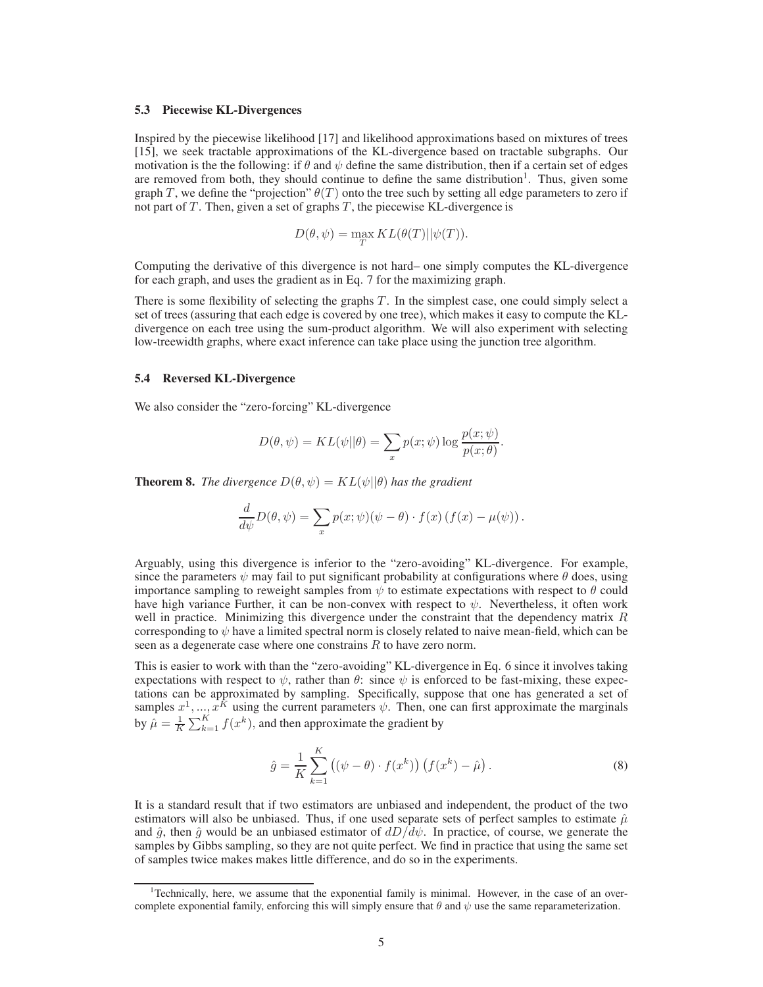#### 5.3 Piecewise KL-Divergences

Inspired by the piecewise likelihood [17] and likelihood approximations based on mixtures of trees [15], we seek tractable approximations of the KL-divergence based on tractable subgraphs. Our motivation is the the following: if  $\theta$  and  $\psi$  define the same distribution, then if a certain set of edges are removed from both, they should continue to define the same distribution<sup>1</sup>. Thus, given some graph T, we define the "projection"  $\theta(T)$  onto the tree such by setting all edge parameters to zero if not part of  $T$ . Then, given a set of graphs  $T$ , the piecewise KL-divergence is

$$
D(\theta, \psi) = \max_{T} KL(\theta(T)||\psi(T)).
$$

Computing the derivative of this divergence is not hard– one simply computes the KL-divergence for each graph, and uses the gradient as in Eq. 7 for the maximizing graph.

There is some flexibility of selecting the graphs  $T$ . In the simplest case, one could simply select a set of trees (assuring that each edge is covered by one tree), which makes it easy to compute the KLdivergence on each tree using the sum-product algorithm. We will also experiment with selecting low-treewidth graphs, where exact inference can take place using the junction tree algorithm.

#### 5.4 Reversed KL-Divergence

We also consider the "zero-forcing" KL-divergence

$$
D(\theta, \psi) = KL(\psi||\theta) = \sum_{x} p(x; \psi) \log \frac{p(x; \psi)}{p(x; \theta)}.
$$

**Theorem 8.** *The divergence*  $D(\theta, \psi) = KL(\psi||\theta)$  *has the gradient* 

$$
\frac{d}{d\psi}D(\theta,\psi) = \sum_{x} p(x;\psi)(\psi - \theta) \cdot f(x) (f(x) - \mu(\psi)).
$$

Arguably, using this divergence is inferior to the "zero-avoiding" KL-divergence. For example, since the parameters  $\psi$  may fail to put significant probability at configurations where  $\theta$  does, using importance sampling to reweight samples from  $\psi$  to estimate expectations with respect to  $\theta$  could have high variance Further, it can be non-convex with respect to  $\psi$ . Nevertheless, it often work well in practice. Minimizing this divergence under the constraint that the dependency matrix  $R$ corresponding to  $\psi$  have a limited spectral norm is closely related to naive mean-field, which can be seen as a degenerate case where one constrains R to have zero norm.

This is easier to work with than the "zero-avoiding" KL-divergence in Eq. 6 since it involves taking expectations with respect to  $\psi$ , rather than  $\theta$ : since  $\psi$  is enforced to be fast-mixing, these expectations can be approximated by sampling. Specifically, suppose that one has generated a set of samples  $x^1, ..., x^K$  using the current parameters  $\psi$ . Then, one can first approximate the marginals by  $\hat{\mu} = \frac{1}{K} \sum_{k=1}^{K} f(x^k)$ , and then approximate the gradient by

$$
\hat{g} = \frac{1}{K} \sum_{k=1}^{K} \left( (\psi - \theta) \cdot f(x^k) \right) \left( f(x^k) - \hat{\mu} \right). \tag{8}
$$

It is a standard result that if two estimators are unbiased and independent, the product of the two estimators will also be unbiased. Thus, if one used separate sets of perfect samples to estimate  $\hat{\mu}$ and  $\hat{g}$ , then  $\hat{g}$  would be an unbiased estimator of  $dD/d\psi$ . In practice, of course, we generate the samples by Gibbs sampling, so they are not quite perfect. We find in practice that using the same set of samples twice makes makes little difference, and do so in the experiments.

<sup>&</sup>lt;sup>1</sup>Technically, here, we assume that the exponential family is minimal. However, in the case of an overcomplete exponential family, enforcing this will simply ensure that  $\theta$  and  $\psi$  use the same reparameterization.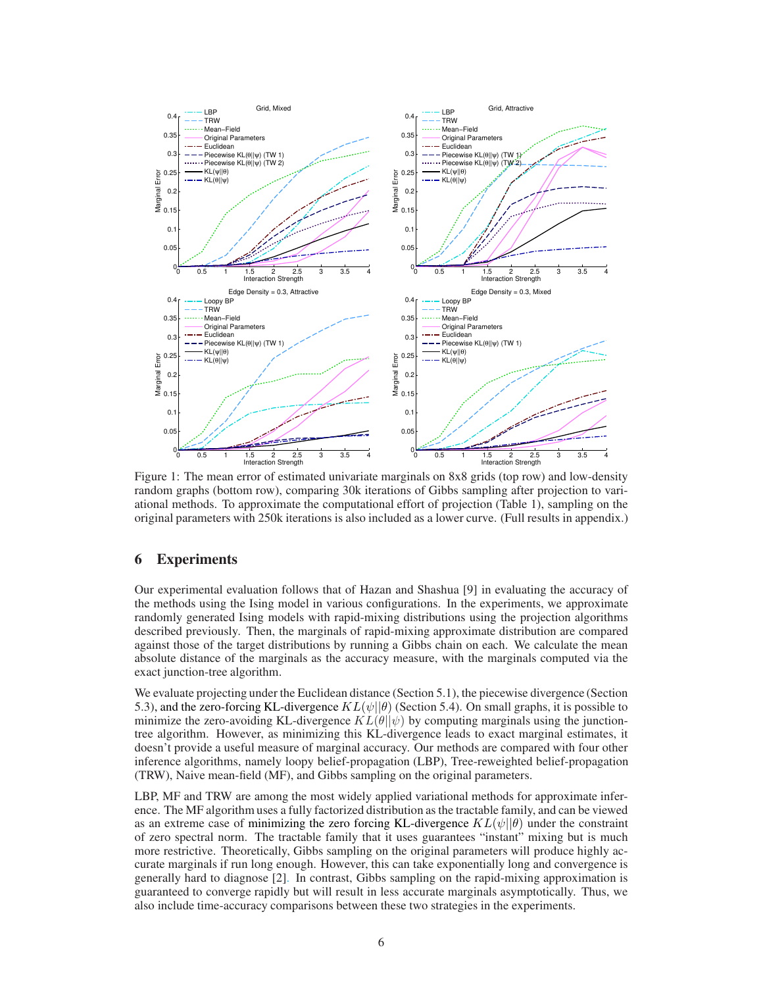

Figure 1: The mean error of estimated univariate marginals on 8x8 grids (top row) and low-density random graphs (bottom row), comparing 30k iterations of Gibbs sampling after projection to variational methods. To approximate the computational effort of projection (Table 1), sampling on the original parameters with 250k iterations is also included as a lower curve. (Full results in appendix.)

## 6 Experiments

Our experimental evaluation follows that of Hazan and Shashua [9] in evaluating the accuracy of the methods using the Ising model in various configurations. In the experiments, we approximate randomly generated Ising models with rapid-mixing distributions using the projection algorithms described previously. Then, the marginals of rapid-mixing approximate distribution are compared against those of the target distributions by running a Gibbs chain on each. We calculate the mean absolute distance of the marginals as the accuracy measure, with the marginals computed via the exact junction-tree algorithm.

We evaluate projecting under the Euclidean distance (Section 5.1), the piecewise divergence (Section 5.3), and the zero-forcing KL-divergence  $KL(\psi||\theta)$  (Section 5.4). On small graphs, it is possible to minimize the zero-avoiding KL-divergence  $KL(\theta||\psi)$  by computing marginals using the junctiontree algorithm. However, as minimizing this KL-divergence leads to exact marginal estimates, it doesn't provide a useful measure of marginal accuracy. Our methods are compared with four other inference algorithms, namely loopy belief-propagation (LBP), Tree-reweighted belief-propagation (TRW), Naive mean-field (MF), and Gibbs sampling on the original parameters.

LBP, MF and TRW are among the most widely applied variational methods for approximate inference. The MF algorithm uses a fully factorized distribution as the tractable family, and can be viewed as an extreme case of minimizing the zero forcing KL-divergence  $KL(\psi||\theta)$  under the constraint of zero spectral norm. The tractable family that it uses guarantees "instant" mixing but is much more restrictive. Theoretically, Gibbs sampling on the original parameters will produce highly accurate marginals if run long enough. However, this can take exponentially long and convergence is generally hard to diagnose [2]. In contrast, Gibbs sampling on the rapid-mixing approximation is guaranteed to converge rapidly but will result in less accurate marginals asymptotically. Thus, we also include time-accuracy comparisons between these two strategies in the experiments.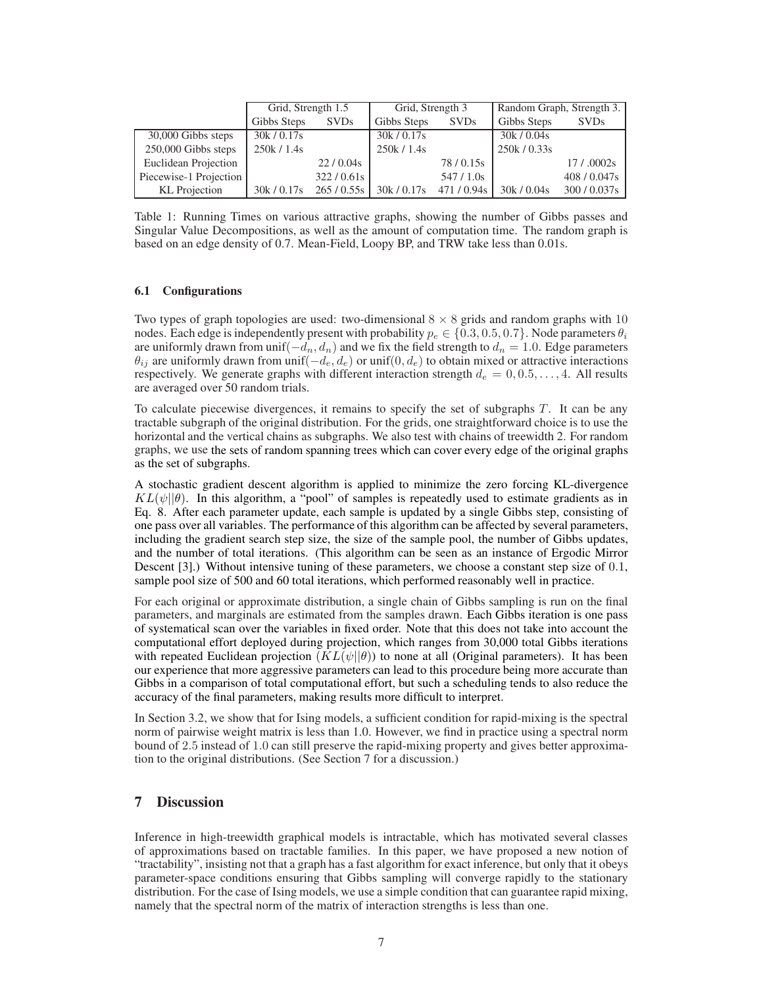|                        | Grid, Strength 1.5 |             | Grid, Strength 3 |             | Random Graph, Strength 3. |              |
|------------------------|--------------------|-------------|------------------|-------------|---------------------------|--------------|
|                        | Gibbs Steps        | <b>SVDs</b> | Gibbs Steps      | <b>SVDs</b> | Gibbs Steps               | <b>SVDs</b>  |
| 30,000 Gibbs steps     | 30k/0.17s          |             | 30k / 0.17s      |             | 30k / 0.04s               |              |
| 250,000 Gibbs steps    | 250k/1.4s          |             | 250k/1.4s        |             | 250k/0.33s                |              |
| Euclidean Projection   |                    | 22/0.04s    |                  | 78/0.15s    |                           | 17/0002s     |
| Piecewise-1 Projection |                    | 322/0.61s   |                  | 547/1.0s    |                           | 408/0.047s   |
| KL Projection          | 30k/0.17s          | 265/0.55s   | 30k/0.17s        | 471/0.94s   | 30k / 0.04s               | 300 / 0.037s |

Table 1: Running Times on various attractive graphs, showing the number of Gibbs passes and Singular Value Decompositions, as well as the amount of computation time. The random graph is based on an edge density of 0.7. Mean-Field, Loopy BP, and TRW take less than 0.01s.

### 6.1 Configurations

Two types of graph topologies are used: two-dimensional  $8 \times 8$  grids and random graphs with 10 nodes. Each edge is independently present with probability  $p_e \in \{0.3, 0.5, 0.7\}$ . Node parameters  $\theta_i$ are uniformly drawn from unif( $-d_n, d_n$ ) and we fix the field strength to  $d_n = 1.0$ . Edge parameters  $\theta_{ij}$  are uniformly drawn from unif $(-d_e, d_e)$  or unif $(0, d_e)$  to obtain mixed or attractive interactions respectively. We generate graphs with different interaction strength  $d_e = 0, 0.5, \ldots, 4$ . All results are averaged over 50 random trials.

To calculate piecewise divergences, it remains to specify the set of subgraphs  $T$ . It can be any tractable subgraph of the original distribution. For the grids, one straightforward choice is to use the horizontal and the vertical chains as subgraphs. We also test with chains of treewidth 2. For random graphs, we use the sets of random spanning trees which can cover every edge of the original graphs as the set of subgraphs.

A stochastic gradient descent algorithm is applied to minimize the zero forcing KL-divergence  $KL(\psi||\theta)$ . In this algorithm, a "pool" of samples is repeatedly used to estimate gradients as in Eq. 8. After each parameter update, each sample is updated by a single Gibbs step, consisting of one pass over all variables. The performance of this algorithm can be affected by several parameters, including the gradient search step size, the size of the sample pool, the number of Gibbs updates, and the number of total iterations. (This algorithm can be seen as an instance of Ergodic Mirror Descent [3].) Without intensive tuning of these parameters, we choose a constant step size of 0.1, sample pool size of 500 and 60 total iterations, which performed reasonably well in practice.

For each original or approximate distribution, a single chain of Gibbs sampling is run on the final parameters, and marginals are estimated from the samples drawn. Each Gibbs iteration is one pass of systematical scan over the variables in fixed order. Note that this does not take into account the computational effort deployed during projection, which ranges from 30,000 total Gibbs iterations with repeated Euclidean projection  $(KL(\psi||\theta))$  to none at all (Original parameters). It has been our experience that more aggressive parameters can lead to this procedure being more accurate than Gibbs in a comparison of total computational effort, but such a scheduling tends to also reduce the accuracy of the final parameters, making results more difficult to interpret.

In Section 3.2, we show that for Ising models, a sufficient condition for rapid-mixing is the spectral norm of pairwise weight matrix is less than 1.0. However, we find in practice using a spectral norm bound of 2.5 instead of 1.0 can still preserve the rapid-mixing property and gives better approximation to the original distributions. (See Section 7 for a discussion.)

# 7 Discussion

Inference in high-treewidth graphical models is intractable, which has motivated several classes of approximations based on tractable families. In this paper, we have proposed a new notion of "tractability", insisting not that a graph has a fast algorithm for exact inference, but only that it obeys parameter-space conditions ensuring that Gibbs sampling will converge rapidly to the stationary distribution. For the case of Ising models, we use a simple condition that can guarantee rapid mixing, namely that the spectral norm of the matrix of interaction strengths is less than one.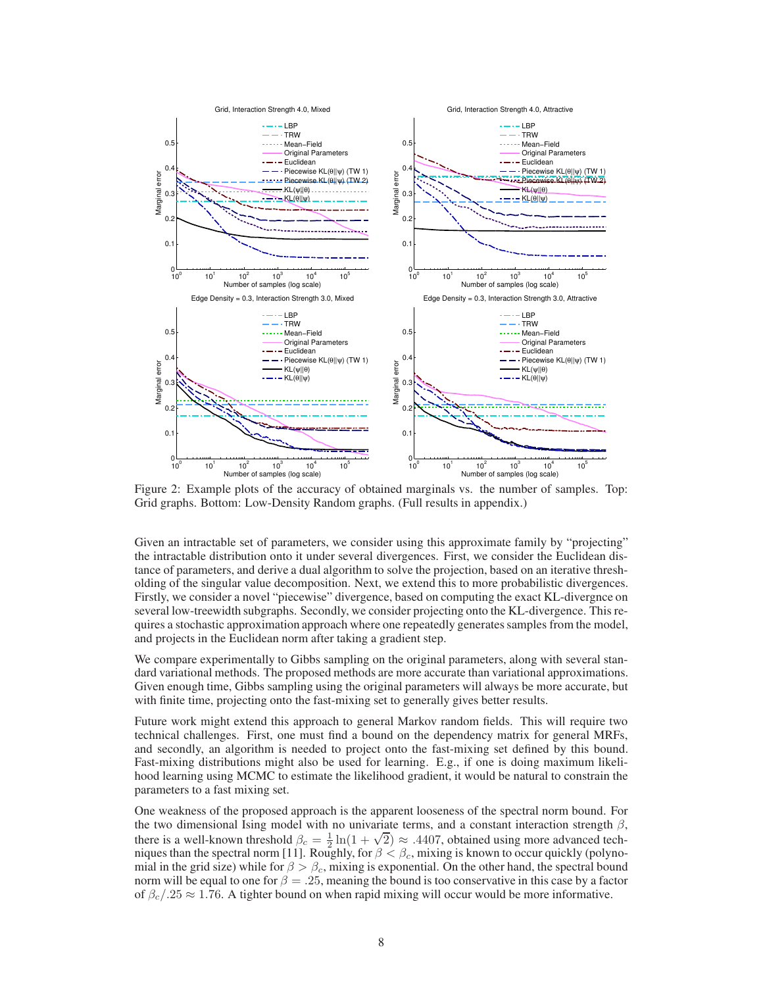

Figure 2: Example plots of the accuracy of obtained marginals vs. the number of samples. Top: Grid graphs. Bottom: Low-Density Random graphs. (Full results in appendix.)

Given an intractable set of parameters, we consider using this approximate family by "projecting" the intractable distribution onto it under several divergences. First, we consider the Euclidean distance of parameters, and derive a dual algorithm to solve the projection, based on an iterative thresholding of the singular value decomposition. Next, we extend this to more probabilistic divergences. Firstly, we consider a novel "piecewise" divergence, based on computing the exact KL-divergnce on several low-treewidth subgraphs. Secondly, we consider projecting onto the KL-divergence. This requires a stochastic approximation approach where one repeatedly generates samples from the model, and projects in the Euclidean norm after taking a gradient step.

We compare experimentally to Gibbs sampling on the original parameters, along with several standard variational methods. The proposed methods are more accurate than variational approximations. Given enough time, Gibbs sampling using the original parameters will always be more accurate, but with finite time, projecting onto the fast-mixing set to generally gives better results.

Future work might extend this approach to general Markov random fields. This will require two technical challenges. First, one must find a bound on the dependency matrix for general MRFs, and secondly, an algorithm is needed to project onto the fast-mixing set defined by this bound. Fast-mixing distributions might also be used for learning. E.g., if one is doing maximum likelihood learning using MCMC to estimate the likelihood gradient, it would be natural to constrain the parameters to a fast mixing set.

One weakness of the proposed approach is the apparent looseness of the spectral norm bound. For the two dimensional Ising model with no univariate terms, and a constant interaction strength  $\beta$ , there is a well-known threshold  $\beta_c = \frac{1}{2} \ln(1 + \sqrt{2}) \approx .4407$ , obtained using more advanced techniques than the spectral norm [11]. Roughly, for  $\beta < \beta_c$ , mixing is known to occur quickly (polynomial in the grid size) while for  $\beta > \beta_c$ , mixing is exponential. On the other hand, the spectral bound norm will be equal to one for  $\beta = .25$ , meaning the bound is too conservative in this case by a factor of  $\beta_c/25 \approx 1.76$ . A tighter bound on when rapid mixing will occur would be more informative.